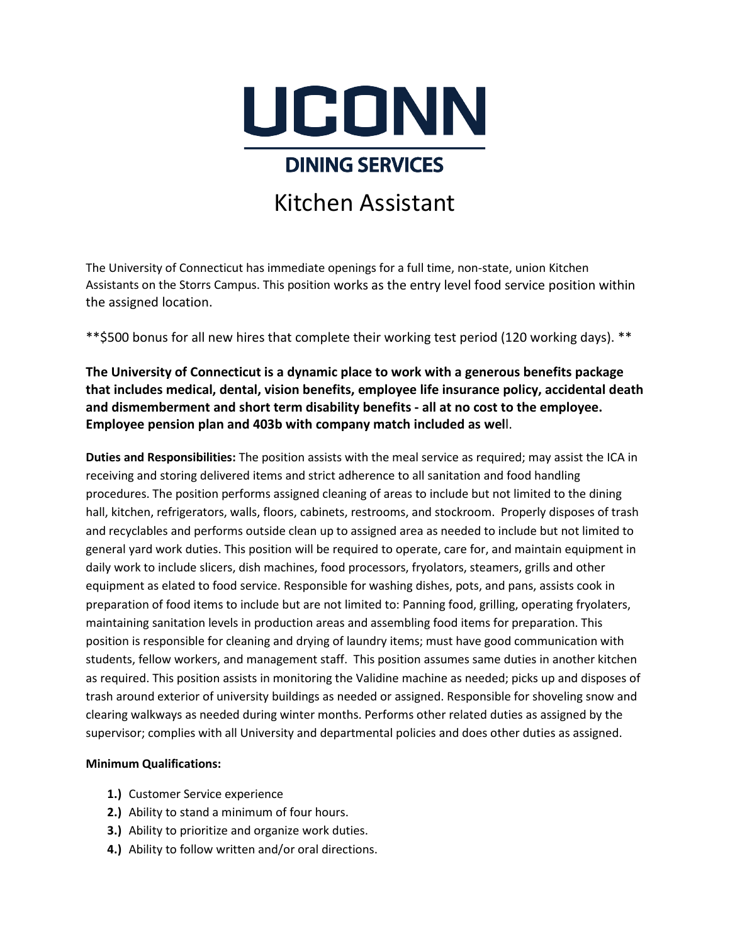

## **DINING SERVICES**

## Kitchen Assistant

The University of Connecticut has immediate openings for a full time, non-state, union Kitchen Assistants on the Storrs Campus. This position works as the entry level food service position within the assigned location.

\*\*\$500 bonus for all new hires that complete their working test period (120 working days). \*\*

**The University of Connecticut is a dynamic place to work with a generous benefits package that includes medical, dental, vision benefits, employee life insurance policy, accidental death and dismemberment and short term disability benefits - all at no cost to the employee. Employee pension plan and 403b with company match included as wel**l.

**Duties and Responsibilities:** The position assists with the meal service as required; may assist the ICA in receiving and storing delivered items and strict adherence to all sanitation and food handling procedures. The position performs assigned cleaning of areas to include but not limited to the dining hall, kitchen, refrigerators, walls, floors, cabinets, restrooms, and stockroom. Properly disposes of trash and recyclables and performs outside clean up to assigned area as needed to include but not limited to general yard work duties. This position will be required to operate, care for, and maintain equipment in daily work to include slicers, dish machines, food processors, fryolators, steamers, grills and other equipment as elated to food service. Responsible for washing dishes, pots, and pans, assists cook in preparation of food items to include but are not limited to: Panning food, grilling, operating fryolaters, maintaining sanitation levels in production areas and assembling food items for preparation. This position is responsible for cleaning and drying of laundry items; must have good communication with students, fellow workers, and management staff. This position assumes same duties in another kitchen as required. This position assists in monitoring the Validine machine as needed; picks up and disposes of trash around exterior of university buildings as needed or assigned. Responsible for shoveling snow and clearing walkways as needed during winter months. Performs other related duties as assigned by the supervisor; complies with all University and departmental policies and does other duties as assigned.

## **Minimum Qualifications:**

- **1.)** Customer Service experience
- **2.)** Ability to stand a minimum of four hours.
- **3.)** Ability to prioritize and organize work duties.
- **4.)** Ability to follow written and/or oral directions.